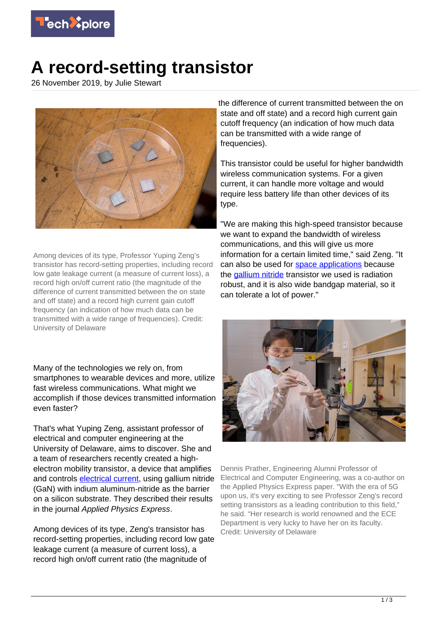

## **A record-setting transistor**

26 November 2019, by Julie Stewart



Among devices of its type, Professor Yuping Zeng's transistor has record-setting properties, including record low gate leakage current (a measure of current loss), a record high on/off current ratio (the magnitude of the difference of current transmitted between the on state and off state) and a record high current gain cutoff frequency (an indication of how much data can be transmitted with a wide range of frequencies). Credit: University of Delaware

Many of the technologies we rely on, from smartphones to wearable devices and more, utilize fast wireless communications. What might we accomplish if those devices transmitted information even faster?

That's what Yuping Zeng, assistant professor of electrical and computer engineering at the University of Delaware, aims to discover. She and a team of researchers recently created a highelectron mobility transistor, a device that amplifies and controls [electrical current](https://techxplore.com/tags/electrical+current/), using gallium nitride (GaN) with indium aluminum-nitride as the barrier on a silicon substrate. They described their results in the journal Applied Physics Express.

Among devices of its type, Zeng's transistor has record-setting properties, including record low gate leakage current (a measure of current loss), a record high on/off current ratio (the magnitude of

the difference of current transmitted between the on state and off state) and a record high current gain cutoff frequency (an indication of how much data can be transmitted with a wide range of frequencies).

This transistor could be useful for higher bandwidth wireless communication systems. For a given current, it can handle more voltage and would require less battery life than other devices of its type.

"We are making this high-speed transistor because we want to expand the bandwidth of wireless communications, and this will give us more information for a certain limited time," said Zeng. "It can also be used for [space applications](https://techxplore.com/tags/space+applications/) because the [gallium nitride](https://techxplore.com/tags/gallium+nitride/) transistor we used is radiation robust, and it is also wide bandgap material, so it can tolerate a lot of power."



Dennis Prather, Engineering Alumni Professor of Electrical and Computer Engineering, was a co-author on the Applied Physics Express paper. "With the era of 5G upon us, it's very exciting to see Professor Zeng's record setting transistors as a leading contribution to this field," he said. "Her research is world renowned and the ECE Department is very lucky to have her on its faculty. Credit: University of Delaware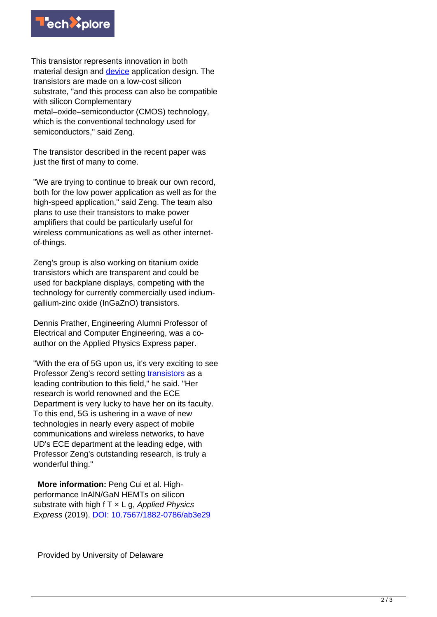

This transistor represents innovation in both material design and [device](https://techxplore.com/tags/device/) application design. The transistors are made on a low-cost silicon substrate, "and this process can also be compatible with silicon Complementary metal–oxide–semiconductor (CMOS) technology, which is the conventional technology used for semiconductors," said Zeng.

The transistor described in the recent paper was just the first of many to come.

"We are trying to continue to break our own record, both for the low power application as well as for the high-speed application," said Zeng. The team also plans to use their transistors to make power amplifiers that could be particularly useful for wireless communications as well as other internetof-things.

Zeng's group is also working on titanium oxide transistors which are transparent and could be used for backplane displays, competing with the technology for currently commercially used indiumgallium-zinc oxide (InGaZnO) transistors.

Dennis Prather, Engineering Alumni Professor of Electrical and Computer Engineering, was a coauthor on the Applied Physics Express paper.

"With the era of 5G upon us, it's very exciting to see Professor Zeng's record setting [transistors](https://techxplore.com/tags/transistors/) as a leading contribution to this field," he said. "Her research is world renowned and the ECE Department is very lucky to have her on its faculty. To this end, 5G is ushering in a wave of new technologies in nearly every aspect of mobile communications and wireless networks, to have UD's ECE department at the leading edge, with Professor Zeng's outstanding research, is truly a wonderful thing."

 **More information:** Peng Cui et al. Highperformance InAlN/GaN HEMTs on silicon substrate with high  $f \mathsf{I} \times L$  g, Applied Physics Express (2019). [DOI: 10.7567/1882-0786/ab3e29](http://dx.doi.org/10.7567/1882-0786/ab3e29)

Provided by University of Delaware